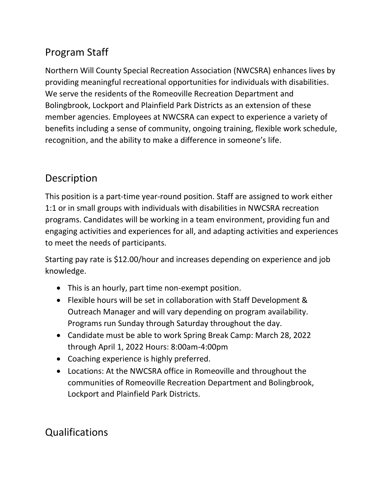## Program Staff

Northern Will County Special Recreation Association (NWCSRA) enhances lives by providing meaningful recreational opportunities for individuals with disabilities. We serve the residents of the Romeoville Recreation Department and Bolingbrook, Lockport and Plainfield Park Districts as an extension of these member agencies. Employees at NWCSRA can expect to experience a variety of benefits including a sense of community, ongoing training, flexible work schedule, recognition, and the ability to make a difference in someone's life.

## Description

This position is a part-time year-round position. Staff are assigned to work either 1:1 or in small groups with individuals with disabilities in NWCSRA recreation programs. Candidates will be working in a team environment, providing fun and engaging activities and experiences for all, and adapting activities and experiences to meet the needs of participants.

Starting pay rate is \$12.00/hour and increases depending on experience and job knowledge.

- This is an hourly, part time non-exempt position.
- Flexible hours will be set in collaboration with Staff Development & Outreach Manager and will vary depending on program availability. Programs run Sunday through Saturday throughout the day.
- Candidate must be able to work Spring Break Camp: March 28, 2022 through April 1, 2022 Hours: 8:00am-4:00pm
- Coaching experience is highly preferred.
- Locations: At the NWCSRA office in Romeoville and throughout the communities of Romeoville Recreation Department and Bolingbrook, Lockport and Plainfield Park Districts.

## Qualifications